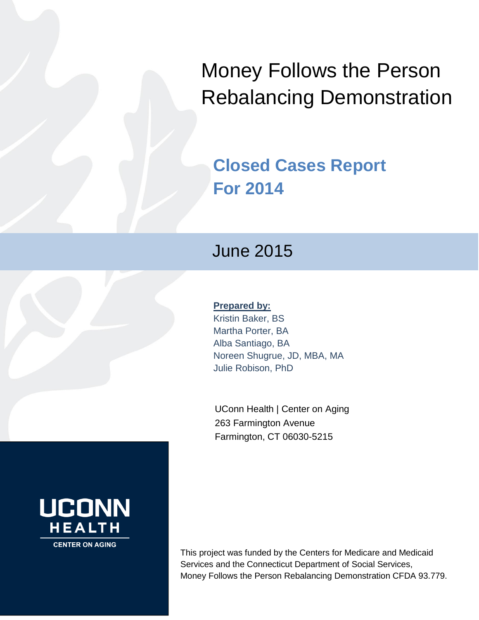Money Follows the Person Rebalancing Demonstration

# **Closed Cases Report For 2014**

# June 2015

# **Prepared by:**

Kristin Baker, BS Martha Porter, BA Alba Santiago, BA Noreen Shugrue, JD, MBA, MA Julie Robison, PhD

UConn Health | Center on Aging 263 Farmington Avenue Farmington, CT 06030-5215

This project was funded by the Centers for Medicare and Medicaid Services and the Connecticut Department of Social Services, Money Follows the Person Rebalancing Demonstration CFDA 93.779.

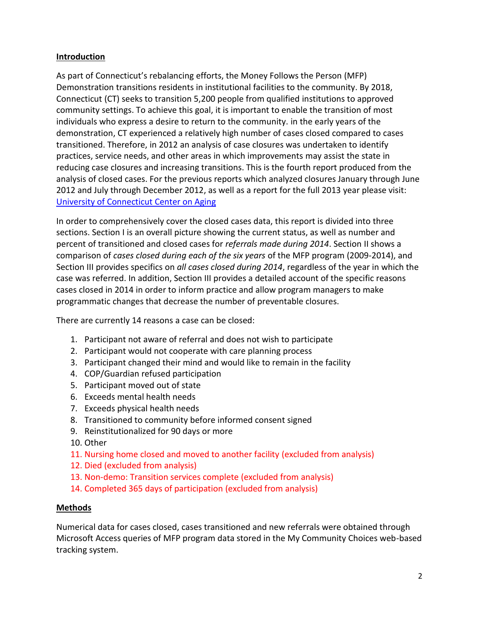# **Introduction**

As part of Connecticut's rebalancing efforts, the Money Follows the Person (MFP) Demonstration transitions residents in institutional facilities to the community. By 2018, Connecticut (CT) seeks to transition 5,200 people from qualified institutions to approved community settings. To achieve this goal, it is important to enable the transition of most individuals who express a desire to return to the community. in the early years of the demonstration, CT experienced a relatively high number of cases closed compared to cases transitioned. Therefore, in 2012 an analysis of case closures was undertaken to identify practices, service needs, and other areas in which improvements may assist the state in reducing case closures and increasing transitions. This is the fourth report produced from the analysis of closed cases. For the previous reports which analyzed closures January through June 2012 and July through December 2012, as well as a report for the full 2013 year please visit: [University of Connecticut Center on Aging](http://www.uconn-aging.uchc.edu/money_follows_the_person_demonstation_evaluation_reports.html)

In order to comprehensively cover the closed cases data, this report is divided into three sections. Section I is an overall picture showing the current status, as well as number and percent of transitioned and closed cases for *referrals made during 2014*. Section II shows a comparison of *cases closed during each of the six years* of the MFP program (2009-2014), and Section III provides specifics on *all cases closed during 2014*, regardless of the year in which the case was referred. In addition, Section III provides a detailed account of the specific reasons cases closed in 2014 in order to inform practice and allow program managers to make programmatic changes that decrease the number of preventable closures.

There are currently 14 reasons a case can be closed:

- 1. Participant not aware of referral and does not wish to participate
- 2. Participant would not cooperate with care planning process
- 3. Participant changed their mind and would like to remain in the facility
- 4. COP/Guardian refused participation
- 5. Participant moved out of state
- 6. Exceeds mental health needs
- 7. Exceeds physical health needs
- 8. Transitioned to community before informed consent signed
- 9. Reinstitutionalized for 90 days or more
- 10. Other
- 11. Nursing home closed and moved to another facility (excluded from analysis)
- 12. Died (excluded from analysis)
- 13. Non-demo: Transition services complete (excluded from analysis)
- 14. Completed 365 days of participation (excluded from analysis)

#### **Methods**

Numerical data for cases closed, cases transitioned and new referrals were obtained through Microsoft Access queries of MFP program data stored in the My Community Choices web-based tracking system.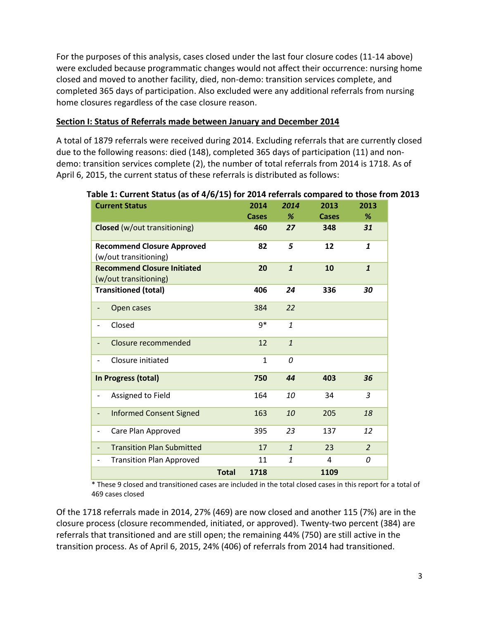For the purposes of this analysis, cases closed under the last four closure codes (11-14 above) were excluded because programmatic changes would not affect their occurrence: nursing home closed and moved to another facility, died, non-demo: transition services complete, and completed 365 days of participation. Also excluded were any additional referrals from nursing home closures regardless of the case closure reason.

#### **Section I: Status of Referrals made between January and December 2014**

A total of 1879 referrals were received during 2014. Excluding referrals that are currently closed due to the following reasons: died (148), completed 365 days of participation (11) and nondemo: transition services complete (2), the number of total referrals from 2014 is 1718. As of April 6, 2015, the current status of these referrals is distributed as follows:

| <b>Current Status</b>                                        |              | 2014         | 2014         | 2013  | 2013           |
|--------------------------------------------------------------|--------------|--------------|--------------|-------|----------------|
|                                                              |              | <b>Cases</b> | %            | Cases | %              |
| <b>Closed</b> (w/out transitioning)                          |              | 460          | 27           | 348   | 31             |
| <b>Recommend Closure Approved</b><br>(w/out transitioning)   |              | 82           | 5            | 12    | 1              |
| <b>Recommend Closure Initiated</b><br>(w/out transitioning)  |              | 20           | $\mathbf{1}$ | 10    | $\mathbf{1}$   |
| <b>Transitioned (total)</b>                                  |              | 406          | 24           | 336   | 30             |
| Open cases<br>-                                              |              | 384          | 22           |       |                |
| Closed<br>-                                                  |              | $9*$         | $\mathbf{1}$ |       |                |
| Closure recommended<br>$\overline{\phantom{0}}$              |              | 12           | $\mathbf{1}$ |       |                |
| Closure initiated<br>$\overline{\phantom{0}}$                |              | $\mathbf{1}$ | 0            |       |                |
| In Progress (total)                                          |              | 750          | 44           | 403   | 36             |
| Assigned to Field<br>$\overline{\phantom{0}}$                |              | 164          | 10           | 34    | $\overline{3}$ |
| <b>Informed Consent Signed</b><br>$\overline{\phantom{0}}$   |              | 163          | 10           | 205   | 18             |
| Care Plan Approved<br>-                                      |              | 395          | 23           | 137   | 12             |
| <b>Transition Plan Submitted</b><br>$\overline{\phantom{0}}$ |              | 17           | $\mathbf{1}$ | 23    | $\overline{2}$ |
| <b>Transition Plan Approved</b><br>$\overline{\phantom{0}}$  |              | 11           | $\mathbf{1}$ | 4     | 0              |
|                                                              | <b>Total</b> | 1718         |              | 1109  |                |

#### **Table 1: Current Status (as of 4/6/15) for 2014 referrals compared to those from 2013**

\* These 9 closed and transitioned cases are included in the total closed cases in this report for a total of 469 cases closed

Of the 1718 referrals made in 2014, 27% (469) are now closed and another 115 (7%) are in the closure process (closure recommended, initiated, or approved). Twenty-two percent (384) are referrals that transitioned and are still open; the remaining 44% (750) are still active in the transition process. As of April 6, 2015, 24% (406) of referrals from 2014 had transitioned.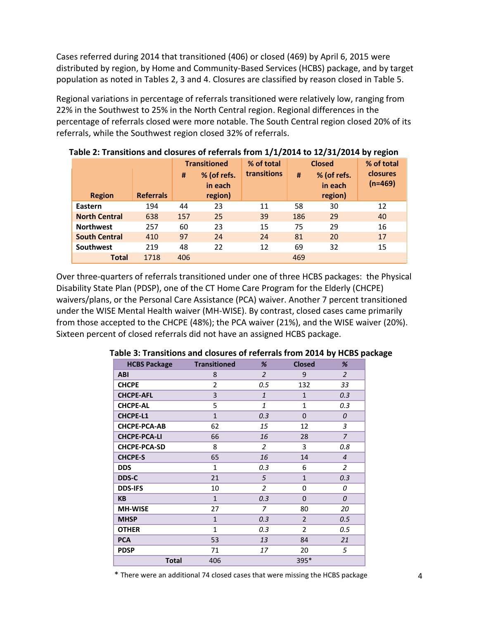Cases referred during 2014 that transitioned (406) or closed (469) by April 6, 2015 were distributed by region, by Home and Community-Based Services (HCBS) package, and by target population as noted in Tables 2, 3 and 4. Closures are classified by reason closed in Table 5.

Regional variations in percentage of referrals transitioned were relatively low, ranging from 22% in the Southwest to 25% in the North Central region. Regional differences in the percentage of referrals closed were more notable. The South Central region closed 20% of its referrals, while the Southwest region closed 32% of referrals.

|                      |                  | % of total<br><b>Transitioned</b><br>transitions<br>% (of refs.<br>#<br>#<br>in each |         | <b>Closed</b><br>% (of refs.<br>in each | $\sim$ , $\sim$ , $\sim$<br>% of total<br>closures<br>$(n=469)$ |         |    |
|----------------------|------------------|--------------------------------------------------------------------------------------|---------|-----------------------------------------|-----------------------------------------------------------------|---------|----|
| <b>Region</b>        | <b>Referrals</b> |                                                                                      | region) |                                         |                                                                 | region) |    |
| Eastern              | 194              | 44                                                                                   | 23      | 11                                      | 58                                                              | 30      | 12 |
| <b>North Central</b> | 638              | 157                                                                                  | 25      | 39                                      | 186                                                             | 29      | 40 |
| <b>Northwest</b>     | 257              | 60                                                                                   | 23      | 15                                      | 75                                                              | 29      | 16 |
| <b>South Central</b> | 410              | 97                                                                                   | 24      | 24                                      | 81                                                              | 20      | 17 |
| <b>Southwest</b>     | 219              | 48                                                                                   | 22      | 12                                      | 69                                                              | 32      | 15 |
| <b>Total</b>         | 1718             | 406                                                                                  |         |                                         | 469                                                             |         |    |

 **Table 2: Transitions and closures of referrals from 1/1/2014 to 12/31/2014 by region**

Over three-quarters of referrals transitioned under one of three HCBS packages: the Physical Disability State Plan (PDSP), one of the CT Home Care Program for the Elderly (CHCPE) waivers/plans, or the Personal Care Assistance (PCA) waiver. Another 7 percent transitioned under the WISE Mental Health waiver (MH-WISE). By contrast, closed cases came primarily from those accepted to the CHCPE (48%); the PCA waiver (21%), and the WISE waiver (20%). Sixteen percent of closed referrals did not have an assigned HCBS package.

| <b>HCBS Package</b> | <b>Transitioned</b> | %              | <b>Closed</b>  | %              |
|---------------------|---------------------|----------------|----------------|----------------|
| <b>ABI</b>          | 8                   | $\overline{2}$ | 9              | 2              |
| <b>CHCPE</b>        | 2                   | 0.5            | 132            | 33             |
| <b>CHCPE-AFL</b>    | 3                   | $\mathbf{1}$   | $\mathbf{1}$   | 0.3            |
| <b>CHCPE-AL</b>     | 5                   | $\mathbf{1}$   | $\mathbf{1}$   | 0.3            |
| <b>CHCPE-L1</b>     | $\mathbf{1}$        | 0.3            | $\Omega$       | $\theta$       |
| <b>CHCPE-PCA-AB</b> | 62                  | 15             | 12             | 3              |
| <b>CHCPE-PCA-LI</b> | 66                  | 16             | 28             | $\overline{z}$ |
| <b>CHCPE-PCA-SD</b> | 8                   | 2              | 3              | 0.8            |
| <b>CHCPE-S</b>      | 65                  | 16             | 14             | $\overline{4}$ |
| <b>DDS</b>          | 1                   | 0.3            | 6              | $\overline{2}$ |
| DDS-C               | 21                  | 5              | $\mathbf{1}$   | 0.3            |
| <b>DDS-IFS</b>      | 10                  | 2              | 0              | 0              |
| <b>KB</b>           | $\mathbf{1}$        | 0.3            | $\Omega$       | 0              |
| <b>MH-WISE</b>      | 27                  | 7              | 80             | 20             |
| <b>MHSP</b>         | $\mathbf{1}$        | 0.3            | $\overline{2}$ | 0.5            |
| <b>OTHER</b>        | $\mathbf{1}$        | 0.3            | $\overline{2}$ | 0.5            |
| <b>PCA</b>          | 53                  | 13             | 84             | 21             |
| <b>PDSP</b>         | 71                  | 17             | 20             | 5              |
| <b>Total</b>        | 406                 |                | 395*           |                |

#### **Table 3: Transitions and closures of referrals from 2014 by HCBS package**

\* There were an additional 74 closed cases that were missing the HCBS package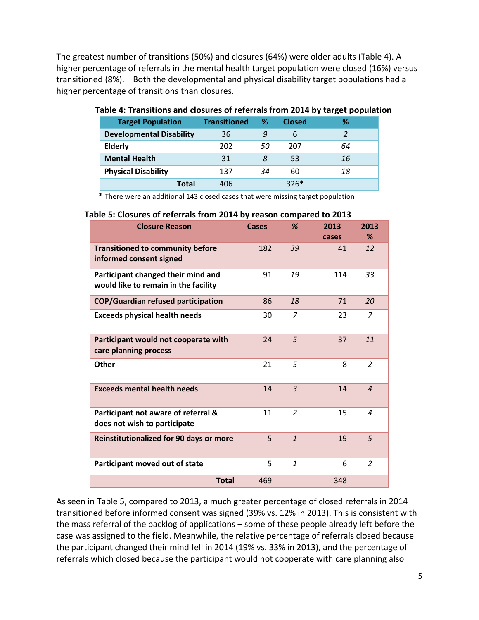The greatest number of transitions (50%) and closures (64%) were older adults (Table 4). A higher percentage of referrals in the mental health target population were closed (16%) versus transitioned (8%). Both the developmental and physical disability target populations had a higher percentage of transitions than closures.

| <b>Target Population</b>        | <b>Transitioned</b> | ℅  | <b>Closed</b> | ℅  |
|---------------------------------|---------------------|----|---------------|----|
| <b>Developmental Disability</b> | 36                  | 9  | 6             |    |
| <b>Elderly</b>                  | 202                 | 50 | 207           | 64 |
| <b>Mental Health</b>            | 31                  | 8  | 53            | 16 |
| <b>Physical Disability</b>      | 137                 | 34 | 60            | 18 |
| Total                           | 406                 |    | $326*$        |    |

#### **Table 4: Transitions and closures of referrals from 2014 by target population**

\* There were an additional 143 closed cases that were missing target population

#### **Table 5: Closures of referrals from 2014 by reason compared to 2013**

| <b>Closure Reason</b>                                                      | <b>Cases</b> | %              | 2013<br>cases | 2013<br>%      |
|----------------------------------------------------------------------------|--------------|----------------|---------------|----------------|
| <b>Transitioned to community before</b><br>informed consent signed         | 182          | 39             | 41            | 12             |
| Participant changed their mind and<br>would like to remain in the facility | 91           | 19             | 114           | 33             |
| COP/Guardian refused participation                                         | 86           | 18             | 71            | 20             |
| <b>Exceeds physical health needs</b>                                       | 30           | $\overline{z}$ | 23            | 7              |
| Participant would not cooperate with<br>care planning process              | 24           | 5              | 37            | 11             |
| <b>Other</b>                                                               | 21           | 5              | 8             | $\overline{2}$ |
| <b>Exceeds mental health needs</b>                                         | 14           | $\overline{3}$ | 14            | $\overline{a}$ |
| Participant not aware of referral &<br>does not wish to participate        | 11           | $\overline{2}$ | 15            | $\overline{a}$ |
| <b>Reinstitutionalized for 90 days or more</b>                             | 5            | $\mathbf{1}$   | 19            | 5              |
| Participant moved out of state                                             | 5            | $\mathbf{1}$   | 6             | 2              |
| <b>Total</b>                                                               | 469          |                | 348           |                |

As seen in Table 5, compared to 2013, a much greater percentage of closed referrals in 2014 transitioned before informed consent was signed (39% vs. 12% in 2013). This is consistent with the mass referral of the backlog of applications – some of these people already left before the case was assigned to the field. Meanwhile, the relative percentage of referrals closed because the participant changed their mind fell in 2014 (19% vs. 33% in 2013), and the percentage of referrals which closed because the participant would not cooperate with care planning also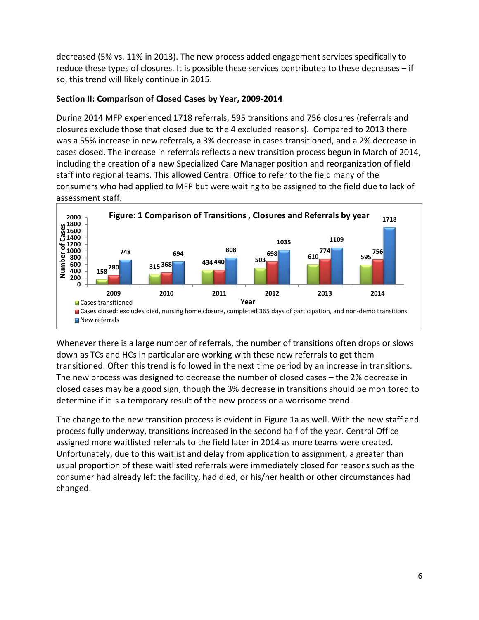decreased (5% vs. 11% in 2013). The new process added engagement services specifically to reduce these types of closures. It is possible these services contributed to these decreases – if so, this trend will likely continue in 2015.

# **Section II: Comparison of Closed Cases by Year, 2009-2014**

During 2014 MFP experienced 1718 referrals, 595 transitions and 756 closures (referrals and closures exclude those that closed due to the 4 excluded reasons). Compared to 2013 there was a 55% increase in new referrals, a 3% decrease in cases transitioned, and a 2% decrease in cases closed. The increase in referrals reflects a new transition process begun in March of 2014, including the creation of a new Specialized Care Manager position and reorganization of field staff into regional teams. This allowed Central Office to refer to the field many of the consumers who had applied to MFP but were waiting to be assigned to the field due to lack of assessment staff.



Whenever there is a large number of referrals, the number of transitions often drops or slows down as TCs and HCs in particular are working with these new referrals to get them transitioned. Often this trend is followed in the next time period by an increase in transitions. The new process was designed to decrease the number of closed cases – the 2% decrease in closed cases may be a good sign, though the 3% decrease in transitions should be monitored to determine if it is a temporary result of the new process or a worrisome trend.

The change to the new transition process is evident in Figure 1a as well. With the new staff and process fully underway, transitions increased in the second half of the year. Central Office assigned more waitlisted referrals to the field later in 2014 as more teams were created. Unfortunately, due to this waitlist and delay from application to assignment, a greater than usual proportion of these waitlisted referrals were immediately closed for reasons such as the consumer had already left the facility, had died, or his/her health or other circumstances had changed.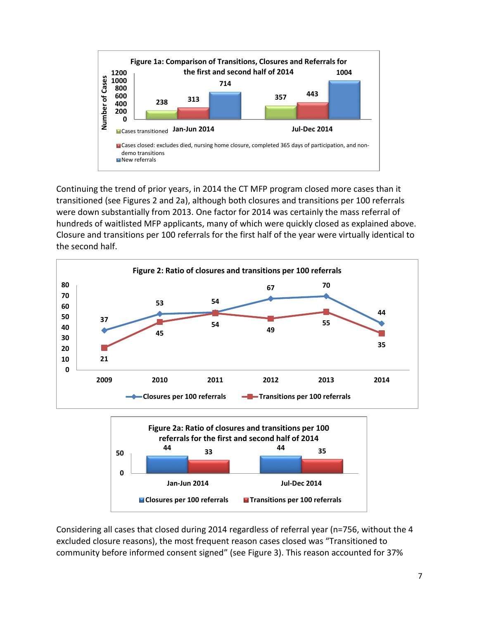

Continuing the trend of prior years, in 2014 the CT MFP program closed more cases than it transitioned (see Figures 2 and 2a), although both closures and transitions per 100 referrals were down substantially from 2013. One factor for 2014 was certainly the mass referral of hundreds of waitlisted MFP applicants, many of which were quickly closed as explained above. Closure and transitions per 100 referrals for the first half of the year were virtually identical to the second half.



Considering all cases that closed during 2014 regardless of referral year (n=756, without the 4 excluded closure reasons), the most frequent reason cases closed was "Transitioned to community before informed consent signed" (see Figure 3). This reason accounted for 37%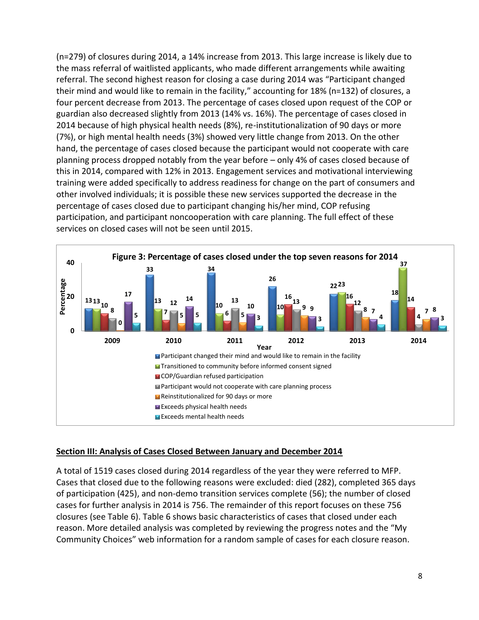(n=279) of closures during 2014, a 14% increase from 2013. This large increase is likely due to the mass referral of waitlisted applicants, who made different arrangements while awaiting referral. The second highest reason for closing a case during 2014 was "Participant changed their mind and would like to remain in the facility," accounting for 18% (n=132) of closures, a four percent decrease from 2013. The percentage of cases closed upon request of the COP or guardian also decreased slightly from 2013 (14% vs. 16%). The percentage of cases closed in 2014 because of high physical health needs (8%), re-institutionalization of 90 days or more (7%), or high mental health needs (3%) showed very little change from 2013. On the other hand, the percentage of cases closed because the participant would not cooperate with care planning process dropped notably from the year before – only 4% of cases closed because of this in 2014, compared with 12% in 2013. Engagement services and motivational interviewing training were added specifically to address readiness for change on the part of consumers and other involved individuals; it is possible these new services supported the decrease in the percentage of cases closed due to participant changing his/her mind, COP refusing participation, and participant noncooperation with care planning. The full effect of these services on closed cases will not be seen until 2015.



## **Section III: Analysis of Cases Closed Between January and December 2014**

A total of 1519 cases closed during 2014 regardless of the year they were referred to MFP. Cases that closed due to the following reasons were excluded: died (282), completed 365 days of participation (425), and non-demo transition services complete (56); the number of closed cases for further analysis in 2014 is 756. The remainder of this report focuses on these 756 closures (see Table 6). Table 6 shows basic characteristics of cases that closed under each reason. More detailed analysis was completed by reviewing the progress notes and the "My Community Choices" web information for a random sample of cases for each closure reason.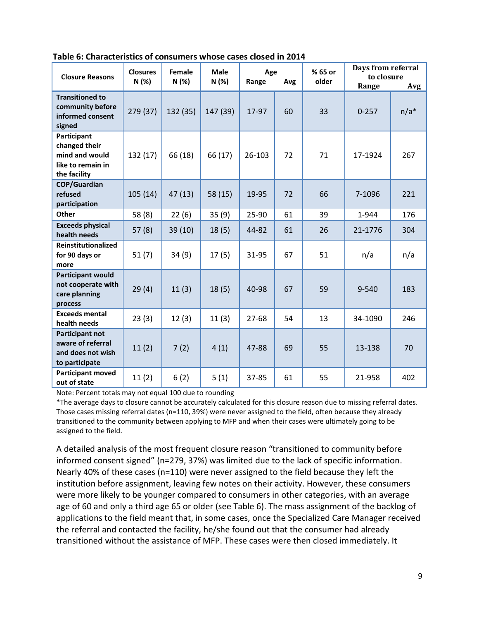| Table 6: Characteristics of consumers whose cases closed in 2014 |  |  |
|------------------------------------------------------------------|--|--|
|------------------------------------------------------------------|--|--|

| <b>Closure Reasons</b>                                                              | <b>Closures</b><br>N(%) | Female<br>N(%) | <b>Male</b><br>N(%) | Age<br>Range | Avg | % 65 or<br>older | Days from referral<br>to closure<br>Range | Avg    |
|-------------------------------------------------------------------------------------|-------------------------|----------------|---------------------|--------------|-----|------------------|-------------------------------------------|--------|
| <b>Transitioned to</b><br>community before<br>informed consent<br>signed            | 279 (37)                | 132 (35)       | 147 (39)            | 17-97        | 60  | 33               | $0 - 257$                                 | $n/a*$ |
| Participant<br>changed their<br>mind and would<br>like to remain in<br>the facility | 132 (17)                | 66 (18)        | 66 (17)             | 26-103       | 72  | 71               | 17-1924                                   | 267    |
| <b>COP/Guardian</b><br>refused<br>participation                                     | 105(14)                 | 47(13)         | 58 (15)             | 19-95        | 72  | 66               | 7-1096                                    | 221    |
| Other                                                                               | 58 (8)                  | 22(6)          | 35(9)               | 25-90        | 61  | 39               | 1-944                                     | 176    |
| <b>Exceeds physical</b><br>health needs                                             | 57(8)                   | 39(10)         | 18(5)               | 44-82        | 61  | 26               | 21-1776                                   | 304    |
| Reinstitutionalized<br>for 90 days or<br>more                                       | 51(7)                   | 34(9)          | 17(5)               | 31-95        | 67  | 51               | n/a                                       | n/a    |
| <b>Participant would</b><br>not cooperate with<br>care planning<br>process          | 29(4)                   | 11(3)          | 18(5)               | 40-98        | 67  | 59               | $9 - 540$                                 | 183    |
| <b>Exceeds mental</b><br>health needs                                               | 23(3)                   | 12(3)          | 11(3)               | 27-68        | 54  | 13               | 34-1090                                   | 246    |
| Participant not<br>aware of referral<br>and does not wish<br>to participate         | 11(2)                   | 7(2)           | 4(1)                | 47-88        | 69  | 55               | 13-138                                    | 70     |
| <b>Participant moved</b><br>out of state                                            | 11(2)                   | 6(2)           | 5(1)                | 37-85        | 61  | 55               | 21-958                                    | 402    |

Note: Percent totals may not equal 100 due to rounding

\*The average days to closure cannot be accurately calculated for this closure reason due to missing referral dates. Those cases missing referral dates (n=110, 39%) were never assigned to the field, often because they already transitioned to the community between applying to MFP and when their cases were ultimately going to be assigned to the field.

A detailed analysis of the most frequent closure reason "transitioned to community before informed consent signed" (n=279, 37%) was limited due to the lack of specific information. Nearly 40% of these cases (n=110) were never assigned to the field because they left the institution before assignment, leaving few notes on their activity. However, these consumers were more likely to be younger compared to consumers in other categories, with an average age of 60 and only a third age 65 or older (see Table 6). The mass assignment of the backlog of applications to the field meant that, in some cases, once the Specialized Care Manager received the referral and contacted the facility, he/she found out that the consumer had already transitioned without the assistance of MFP. These cases were then closed immediately. It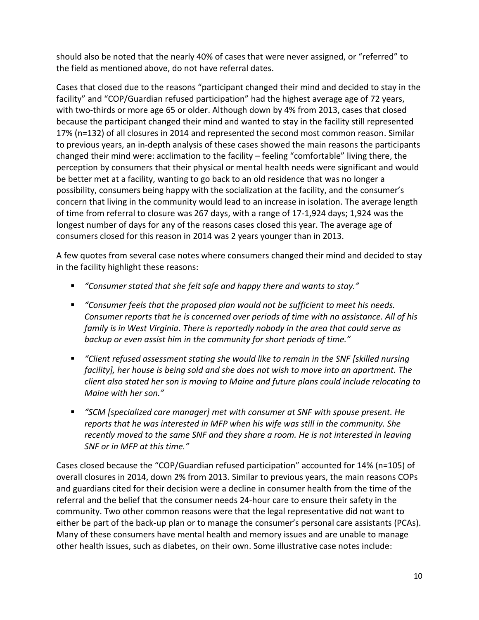should also be noted that the nearly 40% of cases that were never assigned, or "referred" to the field as mentioned above, do not have referral dates.

Cases that closed due to the reasons "participant changed their mind and decided to stay in the facility" and "COP/Guardian refused participation" had the highest average age of 72 years, with two-thirds or more age 65 or older. Although down by 4% from 2013, cases that closed because the participant changed their mind and wanted to stay in the facility still represented 17% (n=132) of all closures in 2014 and represented the second most common reason. Similar to previous years, an in-depth analysis of these cases showed the main reasons the participants changed their mind were: acclimation to the facility – feeling "comfortable" living there, the perception by consumers that their physical or mental health needs were significant and would be better met at a facility, wanting to go back to an old residence that was no longer a possibility, consumers being happy with the socialization at the facility, and the consumer's concern that living in the community would lead to an increase in isolation. The average length of time from referral to closure was 267 days, with a range of 17-1,924 days; 1,924 was the longest number of days for any of the reasons cases closed this year. The average age of consumers closed for this reason in 2014 was 2 years younger than in 2013.

A few quotes from several case notes where consumers changed their mind and decided to stay in the facility highlight these reasons:

- *"Consumer stated that she felt safe and happy there and wants to stay."*
- *"Consumer feels that the proposed plan would not be sufficient to meet his needs. Consumer reports that he is concerned over periods of time with no assistance. All of his family is in West Virginia. There is reportedly nobody in the area that could serve as backup or even assist him in the community for short periods of time."*
- *"Client refused assessment stating she would like to remain in the SNF [skilled nursing facility], her house is being sold and she does not wish to move into an apartment. The client also stated her son is moving to Maine and future plans could include relocating to Maine with her son."*
- *"SCM [specialized care manager] met with consumer at SNF with spouse present. He reports that he was interested in MFP when his wife was still in the community. She recently moved to the same SNF and they share a room. He is not interested in leaving SNF or in MFP at this time."*

Cases closed because the "COP/Guardian refused participation" accounted for 14% (n=105) of overall closures in 2014, down 2% from 2013. Similar to previous years, the main reasons COPs and guardians cited for their decision were a decline in consumer health from the time of the referral and the belief that the consumer needs 24-hour care to ensure their safety in the community. Two other common reasons were that the legal representative did not want to either be part of the back-up plan or to manage the consumer's personal care assistants (PCAs). Many of these consumers have mental health and memory issues and are unable to manage other health issues, such as diabetes, on their own. Some illustrative case notes include: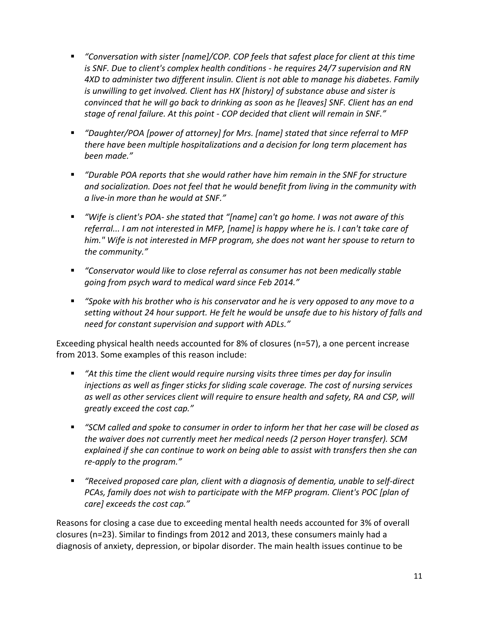- *"Conversation with sister [name]/COP. COP feels that safest place for client at this time is SNF. Due to client's complex health conditions - he requires 24/7 supervision and RN 4XD to administer two different insulin. Client is not able to manage his diabetes. Family is unwilling to get involved. Client has HX [history] of substance abuse and sister is convinced that he will go back to drinking as soon as he [leaves] SNF. Client has an end stage of renal failure. At this point - COP decided that client will remain in SNF."*
- *"Daughter/POA [power of attorney] for Mrs. [name] stated that since referral to MFP there have been multiple hospitalizations and a decision for long term placement has been made."*
- *"Durable POA reports that she would rather have him remain in the SNF for structure and socialization. Does not feel that he would benefit from living in the community with a live-in more than he would at SNF."*
- *"Wife is client's POA- she stated that "[name] can't go home. I was not aware of this referral... I am not interested in MFP, [name] is happy where he is. I can't take care of him." Wife is not interested in MFP program, she does not want her spouse to return to the community."*
- *"Conservator would like to close referral as consumer has not been medically stable going from psych ward to medical ward since Feb 2014."*
- *"Spoke with his brother who is his conservator and he is very opposed to any move to a setting without 24 hour support. He felt he would be unsafe due to his history of falls and need for constant supervision and support with ADLs."*

Exceeding physical health needs accounted for 8% of closures (n=57), a one percent increase from 2013. Some examples of this reason include:

- *"At this time the client would require nursing visits three times per day for insulin injections as well as finger sticks for sliding scale coverage. The cost of nursing services as well as other services client will require to ensure health and safety, RA and CSP, will greatly exceed the cost cap."*
- *"SCM called and spoke to consumer in order to inform her that her case will be closed as the waiver does not currently meet her medical needs (2 person Hoyer transfer). SCM explained if she can continue to work on being able to assist with transfers then she can re-apply to the program."*
- *"Received proposed care plan, client with a diagnosis of dementia, unable to self-direct PCAs, family does not wish to participate with the MFP program. Client's POC [plan of care] exceeds the cost cap."*

Reasons for closing a case due to exceeding mental health needs accounted for 3% of overall closures (n=23). Similar to findings from 2012 and 2013, these consumers mainly had a diagnosis of anxiety, depression, or bipolar disorder. The main health issues continue to be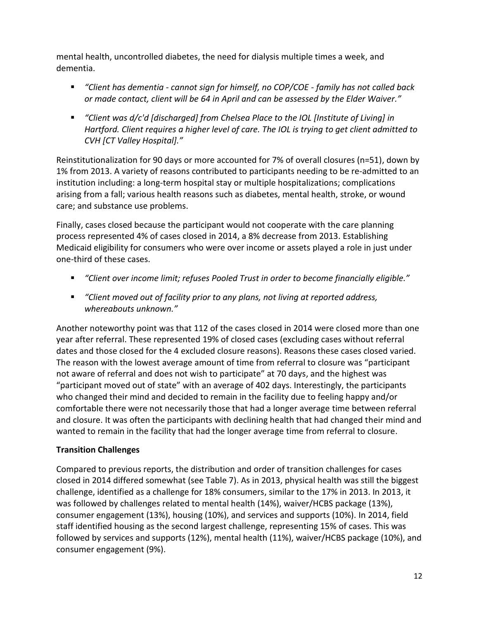mental health, uncontrolled diabetes, the need for dialysis multiple times a week, and dementia.

- *"Client has dementia - cannot sign for himself, no COP/COE - family has not called back or made contact, client will be 64 in April and can be assessed by the Elder Waiver."*
- *"Client was d/c'd [discharged] from Chelsea Place to the IOL [Institute of Living] in Hartford. Client requires a higher level of care. The IOL is trying to get client admitted to CVH [CT Valley Hospital]."*

Reinstitutionalization for 90 days or more accounted for 7% of overall closures (n=51), down by 1% from 2013. A variety of reasons contributed to participants needing to be re-admitted to an institution including: a long-term hospital stay or multiple hospitalizations; complications arising from a fall; various health reasons such as diabetes, mental health, stroke, or wound care; and substance use problems.

Finally, cases closed because the participant would not cooperate with the care planning process represented 4% of cases closed in 2014, a 8% decrease from 2013. Establishing Medicaid eligibility for consumers who were over income or assets played a role in just under one-third of these cases.

- *"Client over income limit; refuses Pooled Trust in order to become financially eligible."*
- *"Client moved out of facility prior to any plans, not living at reported address, whereabouts unknown."*

Another noteworthy point was that 112 of the cases closed in 2014 were closed more than one year after referral. These represented 19% of closed cases (excluding cases without referral dates and those closed for the 4 excluded closure reasons). Reasons these cases closed varied. The reason with the lowest average amount of time from referral to closure was "participant not aware of referral and does not wish to participate" at 70 days, and the highest was "participant moved out of state" with an average of 402 days. Interestingly, the participants who changed their mind and decided to remain in the facility due to feeling happy and/or comfortable there were not necessarily those that had a longer average time between referral and closure. It was often the participants with declining health that had changed their mind and wanted to remain in the facility that had the longer average time from referral to closure.

# **Transition Challenges**

Compared to previous reports, the distribution and order of transition challenges for cases closed in 2014 differed somewhat (see Table 7). As in 2013, physical health was still the biggest challenge, identified as a challenge for 18% consumers, similar to the 17% in 2013. In 2013, it was followed by challenges related to mental health (14%), waiver/HCBS package (13%), consumer engagement (13%), housing (10%), and services and supports (10%). In 2014, field staff identified housing as the second largest challenge, representing 15% of cases. This was followed by services and supports (12%), mental health (11%), waiver/HCBS package (10%), and consumer engagement (9%).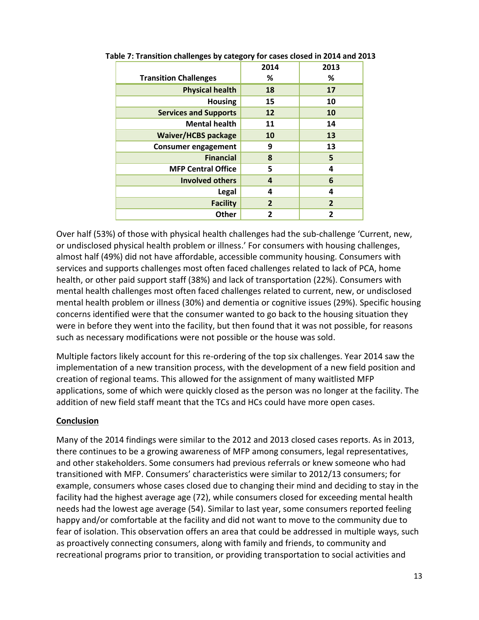|                              | 2014           | 2013           |
|------------------------------|----------------|----------------|
| <b>Transition Challenges</b> | %              | %              |
| <b>Physical health</b>       | 18             | 17             |
| <b>Housing</b>               | 15             | 10             |
| <b>Services and Supports</b> | 12             | 10             |
| <b>Mental health</b>         | 11             | 14             |
| <b>Waiver/HCBS package</b>   | 10             | 13             |
| <b>Consumer engagement</b>   | 9              | 13             |
| <b>Financial</b>             | 8              | 5              |
| <b>MFP Central Office</b>    | 5              | 4              |
| <b>Involved others</b>       | 4              | 6              |
| Legal                        | 4              | 4              |
| <b>Facility</b>              | $\overline{2}$ | $\overline{2}$ |
| <b>Other</b>                 | 2              | 2              |

**Table 7: Transition challenges by category for cases closed in 2014 and 2013**

Over half (53%) of those with physical health challenges had the sub-challenge 'Current, new, or undisclosed physical health problem or illness.' For consumers with housing challenges, almost half (49%) did not have affordable, accessible community housing. Consumers with services and supports challenges most often faced challenges related to lack of PCA, home health, or other paid support staff (38%) and lack of transportation (22%). Consumers with mental health challenges most often faced challenges related to current, new, or undisclosed mental health problem or illness (30%) and dementia or cognitive issues (29%). Specific housing concerns identified were that the consumer wanted to go back to the housing situation they were in before they went into the facility, but then found that it was not possible, for reasons such as necessary modifications were not possible or the house was sold.

Multiple factors likely account for this re-ordering of the top six challenges. Year 2014 saw the implementation of a new transition process, with the development of a new field position and creation of regional teams. This allowed for the assignment of many waitlisted MFP applications, some of which were quickly closed as the person was no longer at the facility. The addition of new field staff meant that the TCs and HCs could have more open cases.

## **Conclusion**

Many of the 2014 findings were similar to the 2012 and 2013 closed cases reports. As in 2013, there continues to be a growing awareness of MFP among consumers, legal representatives, and other stakeholders. Some consumers had previous referrals or knew someone who had transitioned with MFP. Consumers' characteristics were similar to 2012/13 consumers; for example, consumers whose cases closed due to changing their mind and deciding to stay in the facility had the highest average age (72), while consumers closed for exceeding mental health needs had the lowest age average (54). Similar to last year, some consumers reported feeling happy and/or comfortable at the facility and did not want to move to the community due to fear of isolation. This observation offers an area that could be addressed in multiple ways, such as proactively connecting consumers, along with family and friends, to community and recreational programs prior to transition, or providing transportation to social activities and